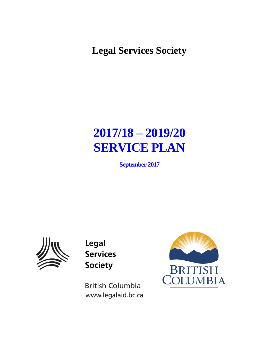**Legal Services Society**

# **2017/18 – 2019/20 SERVICE PLAN**

**September 2017**



Legal **Services Society** 

**British Columbia** www.legalaid.bc.ca

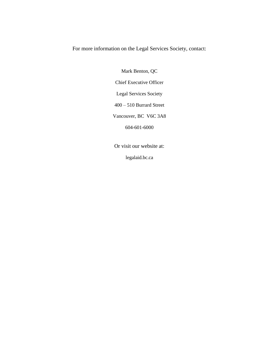For more information on the Legal Services Society, contact:

Mark Benton, QC Chief Executive Officer Legal Services Society 400 – 510 Burrard Street Vancouver, BC V6C 3A8 604-601-6000

Or visit our website at:

legalaid.bc.ca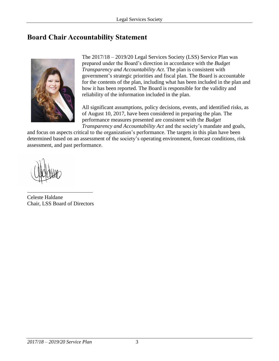# <span id="page-2-0"></span>**Board Chair Accountability Statement**



The 2017/18 – 2019/20 Legal Services Society (LSS) Service Plan was prepared under the Board's direction in accordance with the *Budget Transparency and Accountability Act*. The plan is consistent with government's strategic priorities and fiscal plan. The Board is accountable for the contents of the plan, including what has been included in the plan and how it has been reported. The Board is responsible for the validity and reliability of the information included in the plan.

All significant assumptions, policy decisions, events, and identified risks, as of August 10, 2017, have been considered in preparing the plan. The performance measures presented are consistent with the *Budget Transparency and Accountability Act* and the society's mandate and goals,

and focus on aspects critical to the organization's performance. The targets in this plan have been determined based on an assessment of the society's operating environment, forecast conditions, risk assessment, and past performance.

Celeste Haldane Chair, LSS Board of Directors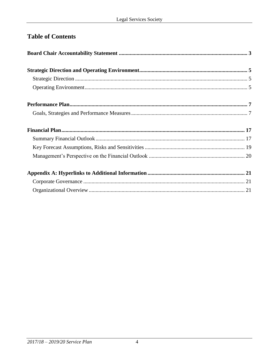# **Table of Contents**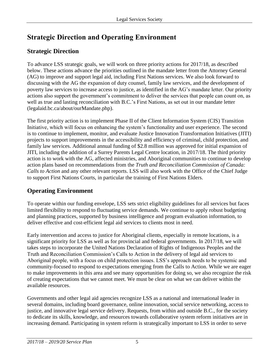# <span id="page-4-0"></span>**Strategic Direction and Operating Environment**

# <span id="page-4-1"></span>**Strategic Direction**

To advance LSS strategic goals, we will work on three priority actions for 2017/18, as described below. These actions advance the priorities outlined in the mandate letter from the Attorney General (AG) to improve and support legal aid, including First Nations services. We also look forward to discussing with the AG the expansion of duty counsel, family law services, and the development of poverty law services to increase access to justice, as identified in the AG's mandate letter. Our priority actions also support the government's commitment to deliver the services that people can count on, as well as true and lasting reconciliation with B.C.'s First Nations, as set out in our mandate letter (legalaid.bc.ca/about/ourMandate.php).

The first priority action is to implement Phase II of the Client Information System (CIS) Transition Initiative, which will focus on enhancing the system's functionality and user experience. The second is to continue to implement, monitor, and evaluate Justice Innovation Transformation Initiatives (JITI) projects to support improvements in the accessibility and efficiency of criminal, child protection, and family law services. Additional annual funding of \$2.8 million was approved for initial expansion of JITI, including the addition of a Surrey Parents Legal Centre location, in 2017/18. The third priority action is to work with the AG, affected ministries, and Aboriginal communities to continue to develop action plans based on recommendations from the *Truth and Reconciliation Commission of Canada: Calls to Action* and any other relevant reports. LSS will also work with the Office of the Chief Judge to support First Nations Courts, in particular the training of First Nations Elders.

# <span id="page-4-2"></span>**Operating Environment**

To operate within our funding envelope, LSS sets strict eligibility guidelines for all services but faces limited flexibility to respond to fluctuating service demands. We continue to apply robust budgeting and planning practices, supported by business intelligence and program evaluation information, to deliver effective and cost-efficient legal aid services to clients most in need.

Early intervention and access to justice for Aboriginal clients, especially in remote locations, is a significant priority for LSS as well as for provincial and federal governments. In 2017/18, we will takes steps to incorporate the United Nations Declaration of Rights of Indigenous Peoples and the Truth and Reconciliation Commission's Calls to Action in the delivery of legal aid services to Aboriginal people, with a focus on child protection issues. LSS's approach needs to be systemic and community-focused to respond to expectations emerging from the Calls to Action. While we are eager to make improvements in this area and see many opportunities for doing so, we also recognize the risk of creating expectations that we cannot meet. We must be clear on what we can deliver within the available resources.

Governments and other legal aid agencies recognize LSS as a national and international leader in several domains, including board governance, online innovation, social service networking, access to justice, and innovative legal service delivery. Requests, from within and outside B.C., for the society to dedicate its skills, knowledge, and resources towards collaborative system reform initiatives are in increasing demand. Participating in system reform is strategically important to LSS in order to serve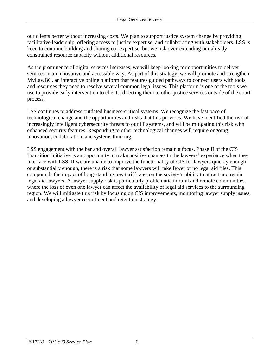our clients better without increasing costs. We plan to support justice system change by providing facilitative leadership, offering access to justice expertise, and collaborating with stakeholders. LSS is keen to continue building and sharing our expertise, but we risk over-extending our already constrained resource capacity without additional resources.

As the prominence of digital services increases, we will keep looking for opportunities to deliver services in an innovative and accessible way. As part of this strategy, we will promote and strengthen MyLawBC, an interactive online platform that features guided pathways to connect users with tools and resources they need to resolve several common legal issues. This platform is one of the tools we use to provide early intervention to clients, directing them to other justice services outside of the court process.

LSS continues to address outdated business-critical systems. We recognize the fast pace of technological change and the opportunities and risks that this provides. We have identified the risk of increasingly intelligent cybersecurity threats to our IT systems, and will be mitigating this risk with enhanced security features. Responding to other technological changes will require ongoing innovation, collaboration, and systems thinking.

LSS engagement with the bar and overall lawyer satisfaction remain a focus. Phase II of the CIS Transition Initiative is an opportunity to make positive changes to the lawyers' experience when they interface with LSS. If we are unable to improve the functionality of CIS for lawyers quickly enough or substantially enough, there is a risk that some lawyers will take fewer or no legal aid files. This compounds the impact of long-standing low tariff rates on the society's ability to attract and retain legal aid lawyers. A lawyer supply risk is particularly problematic in rural and remote communities, where the loss of even one lawyer can affect the availability of legal aid services to the surrounding region. We will mitigate this risk by focusing on CIS improvements, monitoring lawyer supply issues, and developing a lawyer recruitment and retention strategy.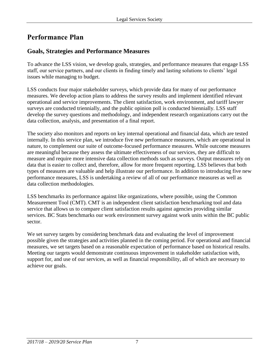# <span id="page-6-0"></span>**Performance Plan**

## **Goals, Strategies and Performance Measures**

To advance the LSS vision, we develop goals, strategies, and performance measures that engage LSS staff, our service partners, and our clients in finding timely and lasting solutions to clients' legal issues while managing to budget.

LSS conducts four major stakeholder surveys, which provide data for many of our performance measures. We develop action plans to address the survey results and implement identified relevant operational and service improvements. The client satisfaction, work environment, and tariff lawyer surveys are conducted triennially, and the public opinion poll is conducted biennially. LSS staff develop the survey questions and methodology, and independent research organizations carry out the data collection, analysis, and presentation of a final report.

The society also monitors and reports on key internal operational and financial data, which are tested internally. In this service plan, we introduce five new performance measures, which are operational in nature, to complement our suite of outcome-focused performance measures. While outcome measures are meaningful because they assess the ultimate effectiveness of our services, they are difficult to measure and require more intensive data collection methods such as surveys. Output measures rely on data that is easier to collect and, therefore, allow for more frequent reporting. LSS believes that both types of measures are valuable and help illustrate our performance. In addition to introducing five new performance measures, LSS is undertaking a review of all of our performance measures as well as data collection methodologies.

LSS benchmarks its performance against like organizations, where possible, using the Common Measurement Tool (CMT). CMT is an independent client satisfaction benchmarking tool and data service that allows us to compare client satisfaction results against agencies providing similar services. BC Stats benchmarks our work environment survey against work units within the BC public sector.

We set survey targets by considering benchmark data and evaluating the level of improvement possible given the strategies and activities planned in the coming period. For operational and financial measures, we set targets based on a reasonable expectation of performance based on historical results. Meeting our targets would demonstrate continuous improvement in stakeholder satisfaction with, support for, and use of our services, as well as financial responsibility, all of which are necessary to achieve our goals.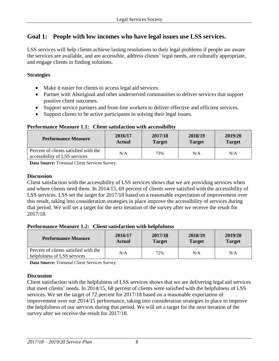### **Goal 1: People with low incomes who have legal issues use LSS services.**

LSS services will help clients achieve lasting resolutions to their legal problems if people are aware the services are available, and are accessible, address clients' legal needs, are culturally appropriate, and engage clients in finding solutions.

#### **Strategies**

- Make it easier for clients to access legal aid services.
- Partner with Aboriginal and other underserved communities to deliver services that support positive client outcomes.
- Support service partners and front-line workers to deliver effective and efficient services.
- Support clients to be active participants in solving their legal issues.

#### **Performance Measure 1.1: Client satisfaction with accessibility**

| <b>Performance Measure</b>                                             | 2016/17       | 2017/18       | 2018/19       | 2019/20       |
|------------------------------------------------------------------------|---------------|---------------|---------------|---------------|
|                                                                        | <b>Actual</b> | <b>Target</b> | <b>Target</b> | <b>Target</b> |
| Percent of clients satisfied with the<br>accessibility of LSS services | N/A           | 73%           | N/A           | N/A           |

**Data Source:** Triennial Client Services Survey.

#### **Discussion**

Client satisfaction with the accessibility of LSS services shows that we are providing services when and where clients need them. In 2014/15, 69 percent of clients were satisfied with the accessibility of LSS services. LSS set the target for 2017/18 based on a reasonable expectation of improvement over this result, taking into consideration strategies in place improve the accessibility of services during that period. We will set a target for the next iteration of the survey after we receive the result for 2017/18.

#### **Performance Measure 1.2: Client satisfaction with helpfulness**

| <b>Performance Measure</b>                                           | 2016/17       | 2017/18       | 2018/19       | 2019/20       |
|----------------------------------------------------------------------|---------------|---------------|---------------|---------------|
|                                                                      | <b>Actual</b> | <b>Target</b> | <b>Target</b> | <b>Target</b> |
| Percent of clients satisfied with the<br>helpfulness of LSS services | N/A           | 72%           | N/A           | N/A           |

**Data Source:** Triennial Client Services Survey.

#### **Discussion**

Client satisfaction with the helpfulness of LSS services shows that we are delivering legal aid services that meet clients' needs. In 2014/15, 68 percent of clients were satisfied with the helpfulness of LSS services. We set the target of 72 percent for 2017/18 based on a reasonable expectation of improvement over our 2014/15 performance, taking into consideration strategies in place to improve the helpfulness of our services during that period. We will set a target for the next iteration of the survey after we receive the result for 2017/18.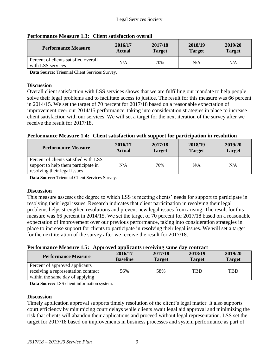| <b>Performance Measure</b>                                | 2016/17       | 2017/18       | 2018/19       | 2019/20       |
|-----------------------------------------------------------|---------------|---------------|---------------|---------------|
|                                                           | <b>Actual</b> | <b>Target</b> | <b>Target</b> | <b>Target</b> |
| Percent of clients satisfied overall<br>with LSS services | N/A           | 70%           | N/A           | N/A           |

#### **Performance Measure 1.3: Client satisfaction overall**

**Data Source:** Triennial Client Services Survey.

#### **Discussion**

Overall client satisfaction with LSS services shows that we are fulfilling our mandate to help people solve their legal problems and to facilitate access to justice. The result for this measure was 66 percent in 2014/15. We set the target of 70 percent for 2017/18 based on a reasonable expectation of improvement over our 2014/15 performance, taking into consideration strategies in place to increase client satisfaction with our services. We will set a target for the next iteration of the survey after we receive the result for 2017/18.

#### **Performance Measure 1.4: Client satisfaction with support for participation in resolution**

| <b>Performance Measure</b>                                                                                   | 2016/17 | 2017/18       | 2018/19       | 2019/20       |
|--------------------------------------------------------------------------------------------------------------|---------|---------------|---------------|---------------|
|                                                                                                              | Actual  | <b>Target</b> | <b>Target</b> | <b>Target</b> |
| Percent of clients satisfied with LSS<br>support to help them participate in<br>resolving their legal issues | N/A     | 70%           | N/A           | N/A           |

**Data Source:** Triennial Client Services Survey.

#### **Discussion**

This measure assesses the degree to which LSS is meeting clients' needs for support to participate in resolving their legal issues. Research indicates that client participation in resolving their legal problems helps strengthen resolutions and prevent new legal issues from arising. The result for this measure was 66 percent in 2014/15. We set the target of 70 percent for 2017/18 based on a reasonable expectation of improvement over our previous performance, taking into consideration strategies in place to increase support for clients to participate in resolving their legal issues. We will set a target for the next iteration of the survey after we receive the result for 2017/18.

#### **Performance Measure 1.5: Approved applicants receiving same day contract**

| <b>Performance Measure</b>                                            | 2016/17<br><b>Baseline</b> | 2017/18<br><b>Target</b> | 2018/19<br><b>Target</b> | 2019/20<br><b>Target</b> |
|-----------------------------------------------------------------------|----------------------------|--------------------------|--------------------------|--------------------------|
| Percent of approved applicants<br>receiving a representation contract | 56%                        | 58%                      | <b>TBD</b>               | <b>TBD</b>               |
| within the same day of applying                                       |                            |                          |                          |                          |

**Data Source:** LSS client information system.

#### **Discussion**

Timely application approval supports timely resolution of the client's legal matter. It also supports court efficiency by minimizing court delays while clients await legal aid approval and minimizing the risk that clients will abandon their applications and proceed without legal representation. LSS set the target for 2017/18 based on improvements in business processes and system performance as part of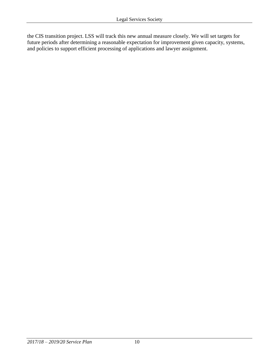the CIS transition project. LSS will track this new annual measure closely. We will set targets for future periods after determining a reasonable expectation for improvement given capacity, systems, and policies to support efficient processing of applications and lawyer assignment.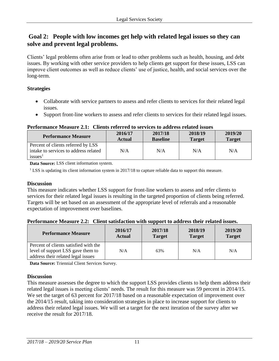### **Goal 2: People with low incomes get help with related legal issues so they can solve and prevent legal problems.**

Clients' legal problems often arise from or lead to other problems such as health, housing, and debt issues. By working with other service providers to help clients get support for these issues, LSS can improve client outcomes as well as reduce clients' use of justice, health, and social services over the long-term.

#### **Strategies**

- Collaborate with service partners to assess and refer clients to services for their related legal issues.
- Support front-line workers to assess and refer clients to services for their related legal issues.

#### **Performance Measure 2.1: Clients referred to services to address related issues**

| <b>Performance Measure</b>            | 2016/17<br>Actual | 2017/18<br><b>Baseline</b> | 2018/19<br><b>Target</b> | 2019/20<br><b>Target</b> |
|---------------------------------------|-------------------|----------------------------|--------------------------|--------------------------|
| Percent of clients referred by LSS    |                   |                            |                          |                          |
| intake to services to address related | N/A               | N/A                        | N/A                      | N/A                      |
| issues <sup>1</sup>                   |                   |                            |                          |                          |

**Data Source:** LSS client information system.

<sup>1</sup> LSS is updating its client information system in 2017/18 to capture reliable data to support this measure.

#### **Discussion**

This measure indicates whether LSS support for front-line workers to assess and refer clients to services for their related legal issues is resulting in the targeted proportion of clients being referred. Targets will be set based on an assessment of the appropriate level of referrals and a reasonable expectation of improvement over baselines.

#### **Performance Measure 2.2: Client satisfaction with support to address their related issues.**

| <b>Performance Measure</b>                                                                                       | 2016/17       | 2017/18       | 2018/19       | 2019/20       |
|------------------------------------------------------------------------------------------------------------------|---------------|---------------|---------------|---------------|
|                                                                                                                  | <b>Actual</b> | <b>Target</b> | <b>Target</b> | <b>Target</b> |
| Percent of clients satisfied with the<br>level of support LSS gave them to<br>address their related legal issues | N/A           | 63%           | N/A           | N/A           |

**Data Source:** Triennial Client Services Survey.

#### **Discussion**

This measure assesses the degree to which the support LSS provides clients to help them address their related legal issues is meeting clients' needs. The result for this measure was 59 percent in 2014/15. We set the target of 63 percent for 2017/18 based on a reasonable expectation of improvement over the 2014/15 result, taking into consideration strategies in place to increase support for clients to address their related legal issues. We will set a target for the next iteration of the survey after we receive the result for 2017/18.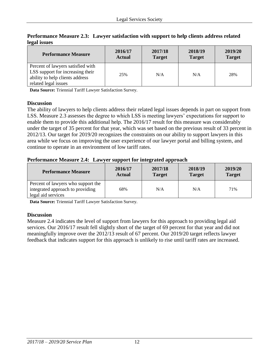| <b>Performance Measure</b>                                                                                                       | 2016/17       | 2017/18       | 2018/19       | 2019/20       |
|----------------------------------------------------------------------------------------------------------------------------------|---------------|---------------|---------------|---------------|
|                                                                                                                                  | <b>Actual</b> | <b>Target</b> | <b>Target</b> | <b>Target</b> |
| Percent of lawyers satisfied with<br>LSS support for increasing their<br>ability to help clients address<br>related legal issues | 25%           | N/A           | N/A           | 28%           |

**Performance Measure 2.3: Lawyer satisfaction with support to help clients address related legal issues**

**Data Source:** Triennial Tariff Lawyer Satisfaction Survey.

#### **Discussion**

The ability of lawyers to help clients address their related legal issues depends in part on support from LSS. Measure 2.3 assesses the degree to which LSS is meeting lawyers' expectations for support to enable them to provide this additional help. The 2016/17 result for this measure was considerably under the target of 35 percent for that year, which was set based on the previous result of 33 percent in 2012/13. Our target for 2019/20 recognizes the constraints on our ability to support lawyers in this area while we focus on improving the user experience of our lawyer portal and billing system, and continue to operate in an environment of low tariff rates.

#### **Performance Measure 2.4: Lawyer support for integrated approach**

| <b>Performance Measure</b>                                                                   | 2016/17       | 2017/18       | 2018/19       | 2019/20       |
|----------------------------------------------------------------------------------------------|---------------|---------------|---------------|---------------|
|                                                                                              | <b>Actual</b> | <b>Target</b> | <b>Target</b> | <b>Target</b> |
| Percent of lawyers who support the<br>integrated approach to providing<br>legal aid services | 68%           | N/A           | N/A           | 71%           |

**Data Source:** Triennial Tariff Lawyer Satisfaction Survey.

#### **Discussion**

Measure 2.4 indicates the level of support from lawyers for this approach to providing legal aid services. Our 2016/17 result fell slightly short of the target of 69 percent for that year and did not meaningfully improve over the 2012/13 result of 67 percent. Our 2019/20 target reflects lawyer feedback that indicates support for this approach is unlikely to rise until tariff rates are increased.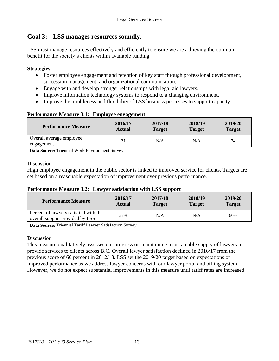### **Goal 3: LSS manages resources soundly.**

LSS must manage resources effectively and efficiently to ensure we are achieving the optimum benefit for the society's clients within available funding.

#### **Strategies**

- Foster employee engagement and retention of key staff through professional development, succession management, and organizational communication.
- Engage with and develop stronger relationships with legal aid lawyers.
- Improve information technology systems to respond to a changing environment.
- Improve the nimbleness and flexibility of LSS business processes to support capacity.

#### **Performance Measure 3.1: Employee engagement**

| <b>Performance Measure</b>             | 2016/17 | 2017/18       | 2018/19       | 2019/20       |
|----------------------------------------|---------|---------------|---------------|---------------|
|                                        | Actual  | <b>Target</b> | <b>Target</b> | <b>Target</b> |
| Overall average employee<br>engagement |         | N/A           | N/A           | 74            |

**Data Source:** Triennial Work Environment Survey.

#### **Discussion**

High employee engagement in the public sector is linked to improved service for clients. Targets are set based on a reasonable expectation of improvement over previous performance.

#### **Performance Measure 3.2: Lawyer satisfaction with LSS support**

| <b>Performance Measure</b>                                               | 2016/17       | 2017/18       | 2018/19       | 2019/20       |
|--------------------------------------------------------------------------|---------------|---------------|---------------|---------------|
|                                                                          | <b>Actual</b> | <b>Target</b> | <b>Target</b> | <b>Target</b> |
| Percent of lawyers satisfied with the<br>overall support provided by LSS | 57%           | N/A           | N/A           | 60%           |

**Data Source:** Triennial Tariff Lawyer Satisfaction Survey

#### **Discussion**

This measure qualitatively assesses our progress on maintaining a sustainable supply of lawyers to provide services to clients across B.C. Overall lawyer satisfaction declined in 2016/17 from the previous score of 60 percent in 2012/13. LSS set the 2019/20 target based on expectations of improved performance as we address lawyer concerns with our lawyer portal and billing system. However, we do not expect substantial improvements in this measure until tariff rates are increased.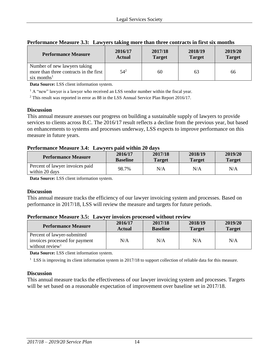| <b>Performance Measure</b>                                                                        | 2016/17       | 2017/18       | 2018/19       | 2019/20       |
|---------------------------------------------------------------------------------------------------|---------------|---------------|---------------|---------------|
|                                                                                                   | <b>Actual</b> | <b>Target</b> | <b>Target</b> | <b>Target</b> |
| Number of new lawyers taking<br>more than three contracts in the first<br>six months <sup>1</sup> | $54^{2}$      | 60            | 63            | 66            |

#### **Performance Measure 3.3: Lawyers taking more than three contracts in first six months**

**Data Source:** LSS client information system.

<sup>1</sup> A "new" lawyer is a lawyer who received an LSS vendor number within the fiscal year.

<sup>2</sup> This result was reported in error as 88 in the LSS Annual Service Plan Report 2016/17.

#### **Discussion**

This annual measure assesses our progress on building a sustainable supply of lawyers to provide services to clients across B.C. The 2016/17 result reflects a decline from the previous year, but based on enhancements to systems and processes underway, LSS expects to improve performance on this measure in future years.

#### **Performance Measure 3.4: Lawyers paid within 20 days**

| <b>Performance Measure</b>                        | 2016/17         | 2017/18       | 2018/19       | 2019/20       |
|---------------------------------------------------|-----------------|---------------|---------------|---------------|
|                                                   | <b>Baseline</b> | <b>Target</b> | <b>Target</b> | <b>Target</b> |
| Percent of lawyer invoices paid<br>within 20 days | 98.7%           | N/A           | N/A           | N/A           |

**Data Source:** LSS client information system.

#### **Discussion**

This annual measure tracks the efficiency of our lawyer invoicing system and processes. Based on performance in 2017/18, LSS will review the measure and targets for future periods.

#### **Performance Measure 3.5: Lawyer invoices processed without review**

| <b>Performance Measure</b>     | 2016/17<br>Actual | 2017/18<br><b>Baseline</b> | 2018/19<br><b>Target</b> | 2019/20<br><b>Target</b> |
|--------------------------------|-------------------|----------------------------|--------------------------|--------------------------|
| Percent of lawyer-submitted    |                   |                            |                          |                          |
| invoices processed for payment | N/A               | N/A                        | N/A                      | N/A                      |
| without review <sup>1</sup>    |                   |                            |                          |                          |

**Data Source:** LSS client information system.

 $1$  LSS is improving its client information system in 2017/18 to support collection of reliable data for this measure.

#### **Discussion**

This annual measure tracks the effectiveness of our lawyer invoicing system and processes. Targets will be set based on a reasonable expectation of improvement over baseline set in 2017/18.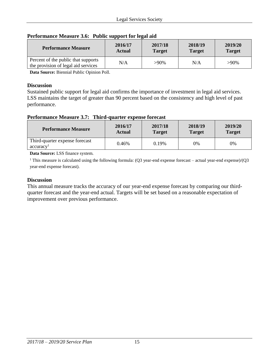**2019/20 Target**

| 'erformance Measure 3.6: Public support for legal aid |               |               |               |  |  |
|-------------------------------------------------------|---------------|---------------|---------------|--|--|
| <b>Performance Measure</b>                            | 2016/17       | 2017/18       | 2018/19       |  |  |
|                                                       | <b>Actual</b> | <b>Target</b> | <b>Target</b> |  |  |

#### **Performance Measure 3.6: Public support for legal aid**

**Data Source:** Biennial Public Opinion Poll.

Percent of the public that supports

#### **Discussion**

Sustained public support for legal aid confirms the importance of investment in legal aid services. LSS maintains the target of greater than 90 percent based on the consistency and high level of past performance.

Telem of the phone that supports<br>the provision of legal aid services  $N/A$  >90% N/A >90%

#### **Performance Measure 3.7: Third-quarter expense forecast**

| <b>Performance Measure</b>                              | 2016/17       | 2017/18       | 2018/19       | 2019/20       |
|---------------------------------------------------------|---------------|---------------|---------------|---------------|
|                                                         | <b>Actual</b> | <b>Target</b> | <b>Target</b> | <b>Target</b> |
| Third-quarter expense forecast<br>accuracy <sup>1</sup> | 0.46%         | 0.19%         | $0\%$         | 0%            |

**Data Source:** LSS finance system.

<sup>1</sup> This measure is calculated using the following formula: (Q3 year-end expense forecast – actual year-end expense)/(Q3 year-end expense forecast).

#### **Discussion**

This annual measure tracks the accuracy of our year-end expense forecast by comparing our thirdquarter forecast and the year-end actual. Targets will be set based on a reasonable expectation of improvement over previous performance.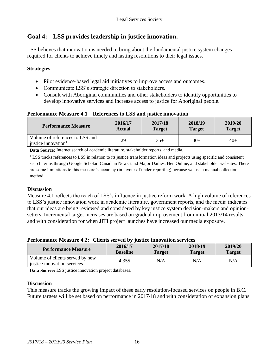# **Goal 4: LSS provides leadership in justice innovation.**

LSS believes that innovation is needed to bring about the fundamental justice system changes required for clients to achieve timely and lasting resolutions to their legal issues.

#### **Strategies**

- Pilot evidence-based legal aid initiatives to improve access and outcomes.
- Communicate LSS's strategic direction to stakeholders.
- Consult with Aboriginal communities and other stakeholders to identify opportunities to develop innovative services and increase access to justice for Aboriginal people.

#### **Performance Measure 4.1 References to LSS and justice innovation**

| <b>Performance Measure</b>                                         | 2016/17       | 2017/18       | 2018/19       | 2019/20       |
|--------------------------------------------------------------------|---------------|---------------|---------------|---------------|
|                                                                    | <b>Actual</b> | <b>Target</b> | <b>Target</b> | <b>Target</b> |
| Volume of references to LSS and<br>iustice innovation <sup>1</sup> | 29            | $35+$         | $40+$         | $40+$         |

**Data Source:** Internet search of academic literature, stakeholder reports, and media.

<sup>1</sup> LSS tracks references to LSS in relation to its justice transformation ideas and projects using specific and consistent search terms through Google Scholar, Canadian Newsstand Major Dailies, HeinOnline, and stakeholder websites. There are some limitations to this measure's accuracy (in favour of under-reporting) because we use a manual collection method.

#### **Discussion**

Measure 4.1 reflects the reach of LSS's influence in justice reform work. A high volume of references to LSS's justice innovation work in academic literature, government reports, and the media indicates that our ideas are being reviewed and considered by key justice system decision-makers and opinionsetters. Incremental target increases are based on gradual improvement from initial 2013/14 results and with consideration for when JITI project launches have increased our media exposure.

#### **Performance Measure 4.2: Clients served by justice innovation services**

| <b>Performance Measure</b>                                     | 2016/17         | 2017/18       | 2018/19       | 2019/20       |
|----------------------------------------------------------------|-----------------|---------------|---------------|---------------|
|                                                                | <b>Baseline</b> | <b>Target</b> | <b>Target</b> | <b>Target</b> |
| Volume of clients served by new<br>justice innovation services | 4,355           | N/A           | N/A           | N/A           |

**Data Source:** LSS justice innovation project databases.

#### **Discussion**

This measure tracks the growing impact of these early resolution-focused services on people in B.C. Future targets will be set based on performance in 2017/18 and with consideration of expansion plans.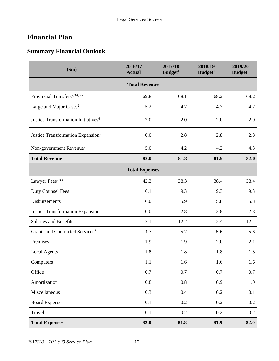# <span id="page-16-0"></span>**Financial Plan**

# <span id="page-16-1"></span>**Summary Financial Outlook**

| \$m\$                                           | 2016/17<br><b>Actual</b> | 2017/18<br>Budge <sup>1</sup> | 2018/19<br>Budget <sup>1</sup> | 2019/20<br>Budget <sup>1</sup> |  |  |
|-------------------------------------------------|--------------------------|-------------------------------|--------------------------------|--------------------------------|--|--|
| <b>Total Revenue</b>                            |                          |                               |                                |                                |  |  |
| Provincial Transfers <sup>2,3,4,5,6</sup>       | 69.8                     | 68.1                          | 68.2                           | 68.2                           |  |  |
| Large and Major Cases <sup>2</sup>              | 5.2                      | 4.7                           | 4.7                            | 4.7                            |  |  |
| Justice Transformation Initiatives <sup>6</sup> | 2.0                      | 2.0                           | 2.0                            | 2.0                            |  |  |
| Justice Transformation Expansion <sup>7</sup>   | 0.0                      | 2.8                           | 2.8                            | 2.8                            |  |  |
| Non-government Revenue <sup>7</sup>             | 5.0                      | 4.2                           | 4.2                            | 4.3                            |  |  |
| <b>Total Revenue</b>                            | 82.0                     | 81.8                          | 81.9                           | 82.0                           |  |  |
|                                                 | <b>Total Expenses</b>    |                               |                                |                                |  |  |
| Lawyer Fees <sup>2,3,4</sup>                    | 42.3                     | 38.3                          | 38.4                           | 38.4                           |  |  |
| <b>Duty Counsel Fees</b>                        | 10.1                     | 9.3                           | 9.3                            | 9.3                            |  |  |
| Disbursements                                   | 6.0                      | 5.9                           | 5.8                            | 5.8                            |  |  |
| Justice Transformation Expansion                | 0.0                      | 2.8                           | 2.8                            | 2.8                            |  |  |
| Salaries and Benefits                           | 12.1                     | 12.2                          | 12.4                           | 12.4                           |  |  |
| Grants and Contracted Services <sup>5</sup>     | 4.7                      | 5.7                           | 5.6                            | 5.6                            |  |  |
| Premises                                        | 1.9                      | 1.9                           | 2.0                            | 2.1                            |  |  |
| <b>Local Agents</b>                             | 1.8                      | 1.8                           | 1.8                            | 1.8                            |  |  |
| Computers                                       | 1.1                      | 1.6                           | 1.6                            | 1.6                            |  |  |
| Office                                          | 0.7                      | 0.7                           | 0.7                            | 0.7                            |  |  |
| Amortization                                    | 0.8                      | 0.8                           | 0.9                            | 1.0                            |  |  |
| Miscellaneous                                   | 0.3                      | $0.4\,$                       | 0.2                            | 0.1                            |  |  |
| <b>Board Expenses</b>                           | 0.1                      | 0.2                           | 0.2                            | 0.2                            |  |  |
| Travel                                          | 0.1                      | 0.2                           | 0.2                            | $0.2\,$                        |  |  |
| <b>Total Expenses</b>                           | 82.0                     | 81.8                          | 81.9                           | 82.0                           |  |  |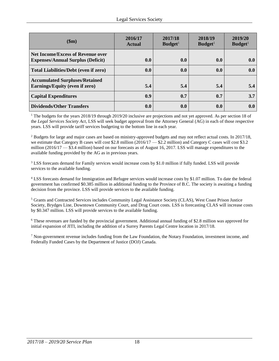| \$m\$                                                                                | 2016/17<br><b>Actual</b> | 2017/18<br>Budge <sup>1</sup> | 2018/19<br>Budge <sup>1</sup> | 2019/20<br>Budge <sup>1</sup> |
|--------------------------------------------------------------------------------------|--------------------------|-------------------------------|-------------------------------|-------------------------------|
| <b>Net Income/Excess of Revenue over</b><br><b>Expenses/Annual Surplus (Deficit)</b> | 0.0                      | 0.0                           | 0.0                           | 0.0                           |
| <b>Total Liabilities/Debt (even if zero)</b>                                         | 0.0                      | 0.0                           | 0.0                           | 0.0                           |
| <b>Accumulated Surpluses/Retained</b><br>Earnings/Equity (even if zero)              | 5.4                      | 5.4                           | 5.4                           | 5.4                           |
| <b>Capital Expenditures</b>                                                          | 0.9                      | 0.7                           | 0.7                           | 3.7                           |
| <b>Dividends/Other Transfers</b>                                                     | 0.0                      | 0.0                           | 0.0                           | 0.0                           |

<sup>1</sup> The budgets for the years 2018/19 through 2019/20 inclusive are projections and not yet approved. As per section 18 of the *Legal Services Society Act*, LSS will seek budget approval from the Attorney General (AG) in each of those respective years. LSS will provide tariff services budgeting to the bottom line in each year.

<sup>2</sup> Budgets for large and major cases are based on ministry-approved budgets and may not reflect actual costs. In 2017/18, we estimate that Category B cases will cost \$2.8 million (2016/17 — \$2.2 million) and Category C cases will cost \$3.2 million (2016/17 — \$3.4 million) based on our forecasts as of August 16, 2017. LSS will manage expenditures to the available funding provided by the AG as in previous years.

<sup>3</sup> LSS forecasts demand for Family services would increase costs by \$1.0 million if fully funded. LSS will provide services to the available funding.

<sup>4</sup> LSS forecasts demand for Immigration and Refugee services would increase costs by \$1.07 million. To date the federal government has confirmed \$0.385 million in additional funding to the Province of B.C. The society is awaiting a funding decision from the province. LSS will provide services to the available funding.

<sup>5</sup> Grants and Contracted Services includes Community Legal Assistance Society (CLAS), West Coast Prison Justice Society, Brydges Line, Downtown Community Court, and Drug Court costs. LSS is forecasting CLAS will increase costs by \$0.347 million. LSS will provide services to the available funding.

<sup>6</sup> These revenues are funded by the provincial government. Additional annual funding of \$2.8 million was approved for initial expansion of JITI, including the addition of a Surrey Parents Legal Centre location in 2017/18.

<span id="page-17-0"></span><sup>7</sup> Non-government revenue includes funding from the Law Foundation, the Notary Foundation, investment income, and Federally Funded Cases by the Department of Justice (DOJ) Canada.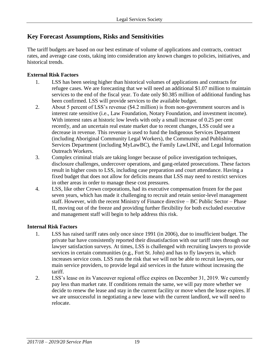### **Key Forecast Assumptions, Risks and Sensitivities**

The tariff budgets are based on our best estimate of volume of applications and contracts, contract rates, and average case costs, taking into consideration any known changes to policies, initiatives, and historical trends.

#### **External Risk Factors**

- 1. LSS has been seeing higher than historical volumes of applications and contracts for refugee cases. We are forecasting that we will need an additional \$1.07 million to maintain services to the end of the fiscal year. To date only \$0.385 million of additional funding has been confirmed. LSS will provide services to the available budget.
- 2. About 5 percent of LSS's revenue (\$4.2 million) is from non-government sources and is interest rate sensitive (i.e., Law Foundation, Notary Foundation, and investment income). With interest rates at historic low levels with only a small increase of 0.25 per cent recently, and an uncertain real estate market due to recent changes, LSS could see a decrease in revenue. This revenue is used to fund the Indigenous Services Department (including Aboriginal Community Legal Workers), the Community and Publishing Services Department (including MyLawBC), the Family LawLINE, and Legal Information Outreach Workers.
- 3. Complex criminal trials are taking longer because of police investigation techniques, disclosure challenges, undercover operations, and gang-related prosecutions. These factors result in higher costs to LSS, including case preparation and court attendance. Having a fixed budget that does not allow for deficits means that LSS may need to restrict services in other areas in order to manage these cost pressures.
- 4. LSS, like other Crown corporations, had its executive compensation frozen for the past seven years, which has made it challenging to recruit and retain senior-level management staff. However, with the recent Ministry of Finance directive – BC Public Sector – Phase II, moving out of the freeze and providing further flexibility for both excluded executive and management staff will begin to help address this risk.

#### **Internal Risk Factors**

- 1. LSS has raised tariff rates only once since 1991 (in 2006), due to insufficient budget. The private bar have consistently reported their dissatisfaction with our tariff rates through our lawyer satisfaction surveys. At times, LSS is challenged with recruiting lawyers to provide services in certain communities (e.g., Fort St. John) and has to fly lawyers in, which increases service costs. LSS runs the risk that we will not be able to recruit lawyers, our main service providers, to provide legal aid services in the future without increasing the tariff.
- <span id="page-18-0"></span>2. LSS's lease on its Vancouver regional office expires on December 31, 2019. We currently pay less than market rate. If conditions remain the same, we will pay more whether we decide to renew the lease and stay in the current facility or move when the lease expires. If we are unsuccessful in negotiating a new lease with the current landlord, we will need to relocate.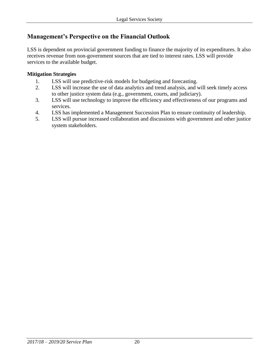### **Management's Perspective on the Financial Outlook**

LSS is dependent on provincial government funding to finance the majority of its expenditures. It also receives revenue from non-government sources that are tied to interest rates. LSS will provide services to the available budget.

#### **Mitigation Strategies**

- 1. LSS will use predictive-risk models for budgeting and forecasting.
- 2. LSS will increase the use of data analytics and trend analysis, and will seek timely access to other justice system data (e.g., government, courts, and judiciary).
- 3. LSS will use technology to improve the efficiency and effectiveness of our programs and services.
- 4. LSS has implemented a Management Succession Plan to ensure continuity of leadership.
- 5. LSS will pursue increased collaboration and discussions with government and other justice system stakeholders.